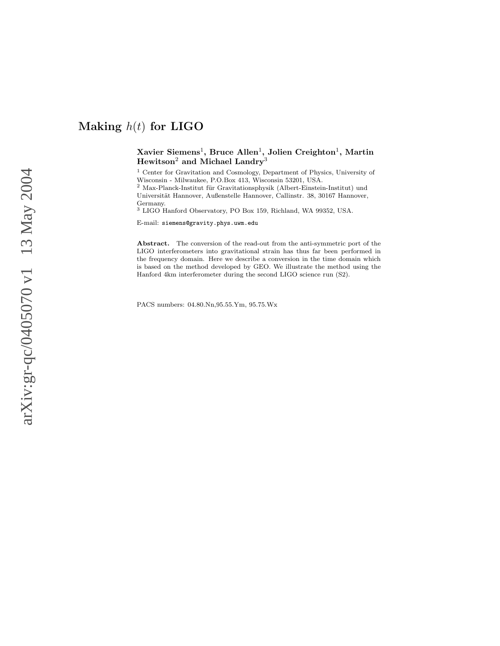## $\rm Xavier\ Siemens^1,\, Bruce\ Allen^1,\,Jolien\ Creghton^1,\, Martin$  $\rm{Hewitson^2}$  and Michael  $\rm{Landry^3}$

<sup>1</sup> Center for Gravitation and Cosmology, Department of Physics, University of Wisconsin - Milwaukee, P.O.Box 413, Wisconsin 53201, USA.

 $2$  Max-Planck-Institut für Gravitationsphysik (Albert-Einstein-Institut) und Universität Hannover, Außenstelle Hannover, Callinstr. 38, 30167 Hannover, Germany.

<sup>3</sup> LIGO Hanford Observatory, PO Box 159, Richland, WA 99352, USA.

E-mail: siemens@gravity.phys.uwm.edu

Abstract. The conversion of the read-out from the anti-symmetric port of the LIGO interferometers into gravitational strain has thus far been performed in the frequency domain. Here we describe a conversion in the time domain which is based on the method developed by GEO. We illustrate the method using the Hanford 4km interferometer during the second LIGO science run (S2).

PACS numbers: 04.80.Nn,95.55.Ym, 95.75.Wx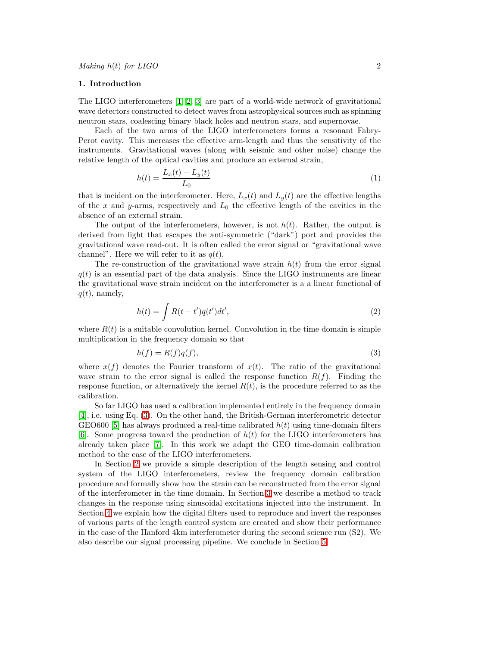#### 1. Introduction

The LIGO interferometers [\[1,](#page-13-0) [2,](#page-13-1) [3\]](#page-13-2) are part of a world-wide network of gravitational wave detectors constructed to detect waves from astrophysical sources such as spinning neutron stars, coalescing binary black holes and neutron stars, and supernovae.

Each of the two arms of the LIGO interferometers forms a resonant Fabry-Perot cavity. This increases the effective arm-length and thus the sensitivity of the instruments. Gravitational waves (along with seismic and other noise) change the relative length of the optical cavities and produce an external strain,

$$
h(t) = \frac{L_x(t) - L_y(t)}{L_0}
$$
\n(1)

that is incident on the interferometer. Here,  $L_x(t)$  and  $L_y(t)$  are the effective lengths of the  $x$  and  $y$ -arms, respectively and  $L_0$  the effective length of the cavities in the absence of an external strain.

The output of the interferometers, however, is not  $h(t)$ . Rather, the output is derived from light that escapes the anti-symmetric ("dark") port and provides the gravitational wave read-out. It is often called the error signal or "gravitational wave channel". Here we will refer to it as  $q(t)$ .

The re-construction of the gravitational wave strain  $h(t)$  from the error signal  $q(t)$  is an essential part of the data analysis. Since the LIGO instruments are linear the gravitational wave strain incident on the interferometer is a a linear functional of  $q(t)$ , namely,

$$
h(t) = \int R(t - t')q(t')dt',
$$
\n(2)

<span id="page-1-0"></span>where  $R(t)$  is a suitable convolution kernel. Convolution in the time domain is simple multiplication in the frequency domain so that

$$
h(f) = R(f)q(f),\tag{3}
$$

where  $x(f)$  denotes the Fourier transform of  $x(t)$ . The ratio of the gravitational wave strain to the error signal is called the response function  $R(f)$ . Finding the response function, or alternatively the kernel  $R(t)$ , is the procedure referred to as the calibration.

So far LIGO has used a calibration implemented entirely in the frequency domain [\[4\]](#page-13-3), i.e. using Eq. [\(3\)](#page-1-0). On the other hand, the British-German interferometric detector GEO600 [\[5\]](#page-13-4) has always produced a real-time calibrated  $h(t)$  using time-domain filters [\[6\]](#page-13-5). Some progress toward the production of  $h(t)$  for the LIGO interferometers has already taken place [\[7\]](#page-13-6). In this work we adapt the GEO time-domain calibration method to the case of the LIGO interferometers.

In Section [2](#page-2-0) we provide a simple description of the length sensing and control system of the LIGO interferometers, review the frequency domain calibration procedure and formally show how the strain can be reconstructed from the error signal of the interferometer in the time domain. In Section [3](#page-4-0) we describe a method to track changes in the response using sinusoidal excitations injected into the instrument. In Section [4](#page-6-0) we explain how the digital filters used to reproduce and invert the responses of various parts of the length control system are created and show their performance in the case of the Hanford 4km interferometer during the second science run (S2). We also describe our signal processing pipeline. We conclude in Section [5.](#page-12-0)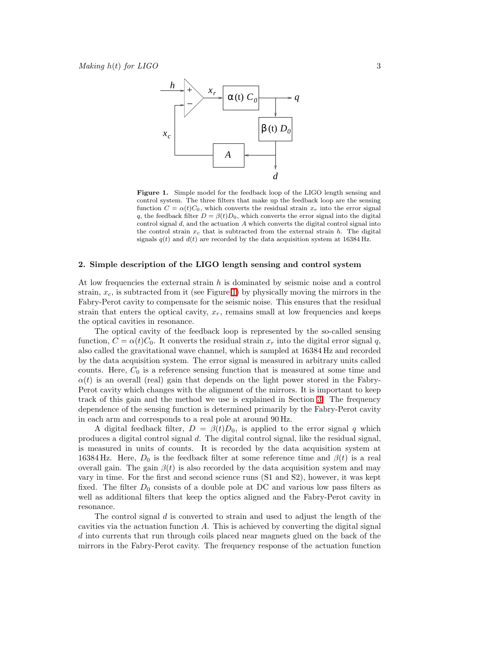

<span id="page-2-1"></span>Figure 1. Simple model for the feedback loop of the LIGO length sensing and control system. The three filters that make up the feedback loop are the sensing function  $C = \alpha(t)C_0$ , which converts the residual strain  $x_r$  into the error signal q, the feedback filter  $D = \beta(t)D_0$ , which converts the error signal into the digital control signal d, and the actuation A which converts the digital control signal into the control strain  $x_c$  that is subtracted from the external strain h. The digital signals  $q(t)$  and  $d(t)$  are recorded by the data acquisition system at 16384 Hz.

## <span id="page-2-0"></span>2. Simple description of the LIGO length sensing and control system

At low frequencies the external strain  $h$  is dominated by seismic noise and a control strain,  $x_c$ , is subtracted from it (see Figure [1\)](#page-2-1) by physically moving the mirrors in the Fabry-Perot cavity to compensate for the seismic noise. This ensures that the residual strain that enters the optical cavity,  $x_r$ , remains small at low frequencies and keeps the optical cavities in resonance.

The optical cavity of the feedback loop is represented by the so-called sensing function,  $C = \alpha(t)C_0$ . It converts the residual strain  $x_r$  into the digital error signal q, also called the gravitational wave channel, which is sampled at 16384 Hz and recorded by the data acquisition system. The error signal is measured in arbitrary units called counts. Here,  $C_0$  is a reference sensing function that is measured at some time and  $\alpha(t)$  is an overall (real) gain that depends on the light power stored in the Fabry-Perot cavity which changes with the alignment of the mirrors. It is important to keep track of this gain and the method we use is explained in Section [3.](#page-4-0) The frequency dependence of the sensing function is determined primarily by the Fabry-Perot cavity in each arm and corresponds to a real pole at around 90 Hz.

A digital feedback filter,  $D = \beta(t)D_0$ , is applied to the error signal q which produces a digital control signal  $d$ . The digital control signal, like the residual signal, is measured in units of counts. It is recorded by the data acquisition system at 16384 Hz. Here,  $D_0$  is the feedback filter at some reference time and  $\beta(t)$  is a real overall gain. The gain  $\beta(t)$  is also recorded by the data acquisition system and may vary in time. For the first and second science runs (S1 and S2), however, it was kept fixed. The filter  $D_0$  consists of a double pole at DC and various low pass filters as well as additional filters that keep the optics aligned and the Fabry-Perot cavity in resonance.

The control signal  $d$  is converted to strain and used to adjust the length of the cavities via the actuation function A. This is achieved by converting the digital signal d into currents that run through coils placed near magnets glued on the back of the mirrors in the Fabry-Perot cavity. The frequency response of the actuation function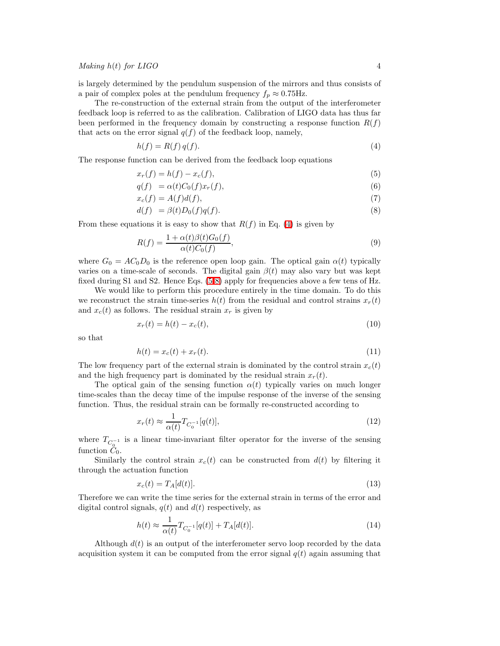is largely determined by the pendulum suspension of the mirrors and thus consists of a pair of complex poles at the pendulum frequency  $f_p \approx 0.75$ Hz.

The re-construction of the external strain from the output of the interferometer feedback loop is referred to as the calibration. Calibration of LIGO data has thus far been performed in the frequency domain by constructing a response function  $R(f)$ that acts on the error signal  $q(f)$  of the feedback loop, namely,

$$
h(f) = R(f)q(f). \tag{4}
$$

<span id="page-3-1"></span><span id="page-3-0"></span>The response function can be derived from the feedback loop equations

$$
x_r(f) = h(f) - x_c(f),\tag{5}
$$

$$
q(f) = \alpha(t)C_0(f)x_r(f), \tag{6}
$$

$$
x_c(f) = A(f)d(f),\tag{7}
$$

$$
d(f) = \beta(t)D_0(f)q(f). \tag{8}
$$

From these equations it is easy to show that  $R(f)$  in Eq. [\(4\)](#page-3-0) is given by

$$
R(f) = \frac{1 + \alpha(t)\beta(t)G_0(f)}{\alpha(t)C_0(f)},
$$
\n
$$
(9)
$$

where  $G_0 = AC_0D_0$  is the reference open loop gain. The optical gain  $\alpha(t)$  typically varies on a time-scale of seconds. The digital gain  $\beta(t)$  may also vary but was kept fixed during S1 and S2. Hence Eqs. [\(5-8\)](#page-3-1) apply for frequencies above a few tens of Hz.

We would like to perform this procedure entirely in the time domain. To do this we reconstruct the strain time-series  $h(t)$  from the residual and control strains  $x_r(t)$ and  $x_c(t)$  as follows. The residual strain  $x_r$  is given by

$$
x_r(t) = h(t) - x_c(t),
$$
\n(10)

so that

$$
h(t) = x_c(t) + x_r(t).
$$
\n(11)

The low frequency part of the external strain is dominated by the control strain  $x_c(t)$ and the high frequency part is dominated by the residual strain  $x_r(t)$ .

The optical gain of the sensing function  $\alpha(t)$  typically varies on much longer time-scales than the decay time of the impulse response of the inverse of the sensing function. Thus, the residual strain can be formally re-constructed according to

$$
x_r(t) \approx \frac{1}{\alpha(t)} T_{C_0^{-1}}[q(t)],\tag{12}
$$

where  $T_{C_0^{-1}}$  is a linear time-invariant filter operator for the inverse of the sensing function  $C_0$ .

Similarly the control strain  $x_c(t)$  can be constructed from  $d(t)$  by filtering it through the actuation function

$$
x_c(t) = T_A[d(t)].\tag{13}
$$

Therefore we can write the time series for the external strain in terms of the error and digital control signals,  $q(t)$  and  $d(t)$  respectively, as

$$
h(t) \approx \frac{1}{\alpha(t)} T_{C_0^{-1}}[q(t)] + T_A[d(t)].
$$
\n(14)

Although  $d(t)$  is an output of the interferometer servo loop recorded by the data acquisition system it can be computed from the error signal  $q(t)$  again assuming that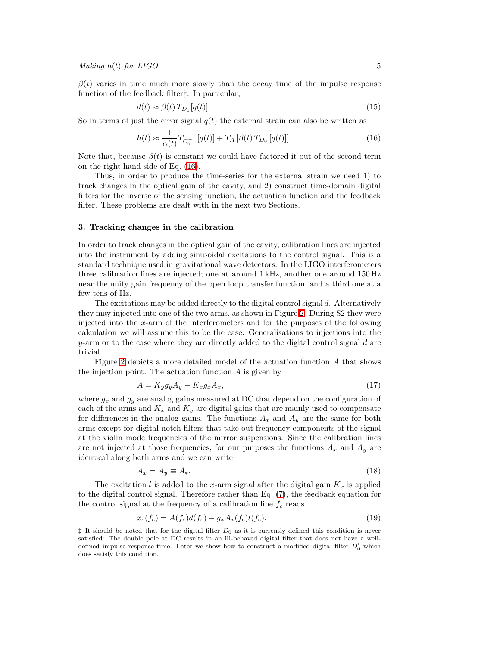$\beta(t)$  varies in time much more slowly than the decay time of the impulse response function of the feedback filter‡. In particular,

$$
d(t) \approx \beta(t) T_{D_0}[q(t)].
$$
\n(15)

<span id="page-4-1"></span>So in terms of just the error signal  $q(t)$  the external strain can also be written as

$$
h(t) \approx \frac{1}{\alpha(t)} T_{C_0^{-1}} [q(t)] + T_A [\beta(t) T_{D_0} [q(t)]] \,. \tag{16}
$$

Note that, because  $\beta(t)$  is constant we could have factored it out of the second term on the right hand side of Eq. [\(16\)](#page-4-1).

Thus, in order to produce the time-series for the external strain we need 1) to track changes in the optical gain of the cavity, and 2) construct time-domain digital filters for the inverse of the sensing function, the actuation function and the feedback filter. These problems are dealt with in the next two Sections.

## <span id="page-4-0"></span>3. Tracking changes in the calibration

In order to track changes in the optical gain of the cavity, calibration lines are injected into the instrument by adding sinusoidal excitations to the control signal. This is a standard technique used in gravitational wave detectors. In the LIGO interferometers three calibration lines are injected; one at around 1 kHz, another one around 150 Hz near the unity gain frequency of the open loop transfer function, and a third one at a few tens of Hz.

The excitations may be added directly to the digital control signal d. Alternatively they may injected into one of the two arms, as shown in Figure [2.](#page-5-0) During S2 they were injected into the  $x$ -arm of the interferometers and for the purposes of the following calculation we will assume this to be the case. Generalisations to injections into the  $y$ -arm or to the case where they are directly added to the digital control signal  $d$  are trivial.

<span id="page-4-2"></span>Figure [2](#page-5-0) depicts a more detailed model of the actuation function A that shows the injection point. The actuation function  $A$  is given by

$$
A = K_y g_y A_y - K_x g_x A_x, \tag{17}
$$

where  $g_x$  and  $g_y$  are analog gains measured at DC that depend on the configuration of each of the arms and  $K_x$  and  $K_y$  are digital gains that are mainly used to compensate for differences in the analog gains. The functions  $A_x$  and  $A_y$  are the same for both arms except for digital notch filters that take out frequency components of the signal at the violin mode frequencies of the mirror suspensions. Since the calibration lines are not injected at those frequencies, for our purposes the functions  $A_x$  and  $A_y$  are identical along both arms and we can write

$$
A_x = A_y \equiv A_*. \tag{18}
$$

<span id="page-4-3"></span>The excitation l is added to the x-arm signal after the digital gain  $K_x$  is applied to the digital control signal. Therefore rather than Eq. [\(7\)](#page-3-1), the feedback equation for the control signal at the frequency of a calibration line  $f_c$  reads

$$
x_c(f_c) = A(f_c)d(f_c) - g_xA_*(f_c)l(f_c).
$$
\n(19)

 $\ddagger$  It should be noted that for the digital filter  $D_0$  as it is currently defined this condition is never satisfied: The double pole at DC results in an ill-behaved digital filter that does not have a welldefined impulse response time. Later we show how to construct a modified digital filter  $D'_0$  which does satisfy this condition.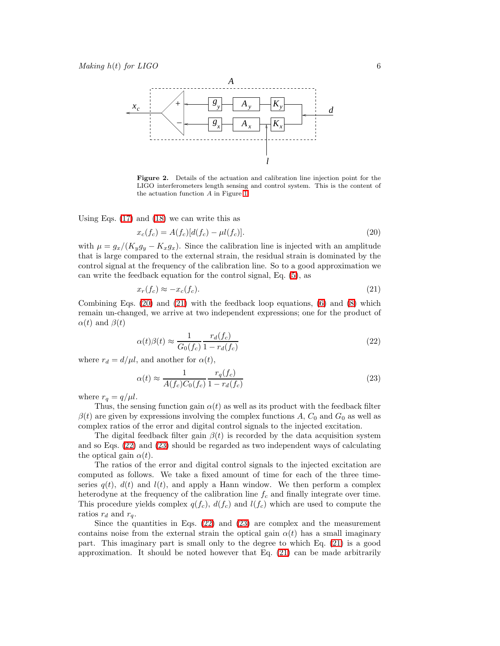

<span id="page-5-0"></span>Figure 2. Details of the actuation and calibration line injection point for the LIGO interferometers length sensing and control system. This is the content of the actuation function A in Figure [1.](#page-2-1)

<span id="page-5-1"></span>Using Eqs.  $(17)$  and  $(18)$  we can write this as

$$
x_c(f_c) = A(f_c)[d(f_c) - \mu l(f_c)].
$$
\n(20)

with  $\mu = g_x/(K_y g_y - K_x g_x)$ . Since the calibration line is injected with an amplitude that is large compared to the external strain, the residual strain is dominated by the control signal at the frequency of the calibration line. So to a good approximation we can write the feedback equation for the control signal, Eq. [\(5\)](#page-3-1), as

$$
x_r(f_c) \approx -x_c(f_c). \tag{21}
$$

<span id="page-5-3"></span><span id="page-5-2"></span>Combining Eqs.  $(20)$  and  $(21)$  with the feedback loop equations,  $(6)$  and  $(8)$  which remain un-changed, we arrive at two independent expressions; one for the product of  $\alpha(t)$  and  $\beta(t)$ 

$$
\alpha(t)\beta(t) \approx \frac{1}{G_0(f_c)} \frac{r_d(f_c)}{1 - r_d(f_c)}\tag{22}
$$

<span id="page-5-4"></span>where  $r_d = d/\mu l$ , and another for  $\alpha(t)$ ,

$$
\alpha(t) \approx \frac{1}{A(f_c)C_0(f_c)} \frac{r_q(f_c)}{1 - r_d(f_c)}\tag{23}
$$

where  $r_q = q/\mu l$ .

Thus, the sensing function gain  $\alpha(t)$  as well as its product with the feedback filter  $\beta(t)$  are given by expressions involving the complex functions A,  $C_0$  and  $G_0$  as well as complex ratios of the error and digital control signals to the injected excitation.

The digital feedback filter gain  $\beta(t)$  is recorded by the data acquisition system and so Eqs. [\(22\)](#page-5-3) and [\(23\)](#page-5-4) should be regarded as two independent ways of calculating the optical gain  $\alpha(t)$ .

The ratios of the error and digital control signals to the injected excitation are computed as follows. We take a fixed amount of time for each of the three timeseries  $q(t)$ ,  $d(t)$  and  $l(t)$ , and apply a Hann window. We then perform a complex heterodyne at the frequency of the calibration line  $f_c$  and finally integrate over time. This procedure yields complex  $q(f_c)$ ,  $d(f_c)$  and  $l(f_c)$  which are used to compute the ratios  $r_d$  and  $r_q$ .

Since the quantities in Eqs.  $(22)$  and  $(23)$  are complex and the measurement contains noise from the external strain the optical gain  $\alpha(t)$  has a small imaginary part. This imaginary part is small only to the degree to which Eq. [\(21\)](#page-5-2) is a good approximation. It should be noted however that Eq. [\(21\)](#page-5-2) can be made arbitrarily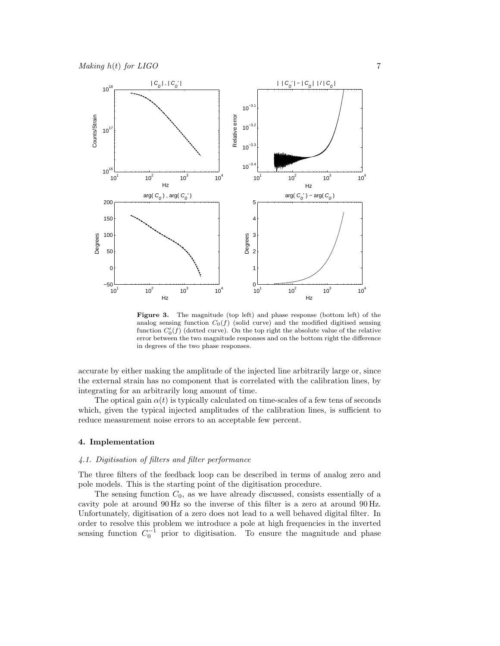

<span id="page-6-1"></span>Figure 3. The magnitude (top left) and phase response (bottom left) of the analog sensing function  $C_0(f)$  (solid curve) and the modified digitised sensing function  $C'_0(f)$  (dotted curve). On the top right the absolute value of the relative error between the two magnitude responses and on the bottom right the difference in degrees of the two phase responses.

accurate by either making the amplitude of the injected line arbitrarily large or, since the external strain has no component that is correlated with the calibration lines, by integrating for an arbitrarily long amount of time.

The optical gain  $\alpha(t)$  is typically calculated on time-scales of a few tens of seconds which, given the typical injected amplitudes of the calibration lines, is sufficient to reduce measurement noise errors to an acceptable few percent.

#### <span id="page-6-0"></span>4. Implementation

## 4.1. Digitisation of filters and filter performance

The three filters of the feedback loop can be described in terms of analog zero and pole models. This is the starting point of the digitisation procedure.

The sensing function  $C_0$ , as we have already discussed, consists essentially of a cavity pole at around 90 Hz so the inverse of this filter is a zero at around 90 Hz. Unfortunately, digitisation of a zero does not lead to a well behaved digital filter. In order to resolve this problem we introduce a pole at high frequencies in the inverted sensing function  $C_0^{-1}$  prior to digitisation. To ensure the magnitude and phase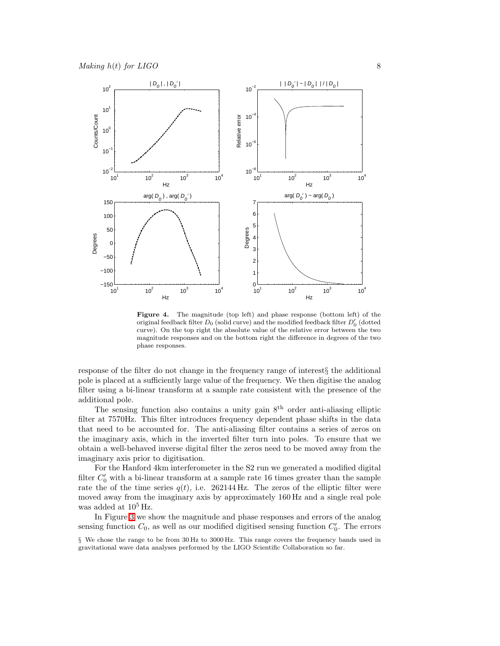

<span id="page-7-0"></span>Figure 4. The magnitude (top left) and phase response (bottom left) of the original feedback filter  $D_0$  (solid curve) and the modified feedback filter  $D'_0$  (dotted curve). On the top right the absolute value of the relative error between the two magnitude responses and on the bottom right the difference in degrees of the two phase responses.

response of the filter do not change in the frequency range of interest§ the additional pole is placed at a sufficiently large value of the frequency. We then digitise the analog filter using a bi-linear transform at a sample rate consistent with the presence of the additional pole.

The sensing function also contains a unity gain  $8<sup>th</sup>$  order anti-aliasing elliptic filter at 7570Hz. This filter introduces frequency dependent phase shifts in the data that need to be accounted for. The anti-aliasing filter contains a series of zeros on the imaginary axis, which in the inverted filter turn into poles. To ensure that we obtain a well-behaved inverse digital filter the zeros need to be moved away from the imaginary axis prior to digitisation.

For the Hanford 4km interferometer in the S2 run we generated a modified digital filter  $C'_0$  with a bi-linear transform at a sample rate 16 times greater than the sample rate the of the time series  $q(t)$ , i.e. 262144 Hz. The zeros of the elliptic filter were moved away from the imaginary axis by approximately 160 Hz and a single real pole was added at  $10^5$  Hz.

In Figure [3](#page-6-1) we show the magnitude and phase responses and errors of the analog sensing function  $C_0$ , as well as our modified digitised sensing function  $C'_0$ . The errors

<sup>§</sup> We chose the range to be from 30 Hz to 3000 Hz. This range covers the frequency bands used in gravitational wave data analyses performed by the LIGO Scientific Collaboration so far.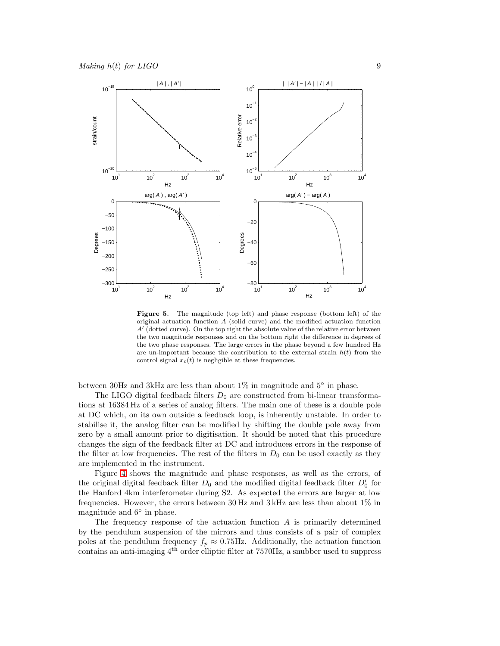

<span id="page-8-0"></span>Figure 5. The magnitude (top left) and phase response (bottom left) of the original actuation function A (solid curve) and the modified actuation function A′ (dotted curve). On the top right the absolute value of the relative error between the two magnitude responses and on the bottom right the difference in degrees of the two phase responses. The large errors in the phase beyond a few hundred Hz are un-important because the contribution to the external strain  $h(t)$  from the control signal  $x_c(t)$  is negligible at these frequencies.

between 30Hz and 3kHz are less than about  $1\%$  in magnitude and  $5^{\circ}$  in phase.

The LIGO digital feedback filters  $D_0$  are constructed from bi-linear transformations at 16384 Hz of a series of analog filters. The main one of these is a double pole at DC which, on its own outside a feedback loop, is inherently unstable. In order to stabilise it, the analog filter can be modified by shifting the double pole away from zero by a small amount prior to digitisation. It should be noted that this procedure changes the sign of the feedback filter at DC and introduces errors in the response of the filter at low frequencies. The rest of the filters in  $D_0$  can be used exactly as they are implemented in the instrument.

Figure [4](#page-7-0) shows the magnitude and phase responses, as well as the errors, of the original digital feedback filter  $D_0$  and the modified digital feedback filter  $D'_0$  for the Hanford 4km interferometer during S2. As expected the errors are larger at low frequencies. However, the errors between 30 Hz and 3 kHz are less than about 1% in magnitude and  $6°$  in phase.

The frequency response of the actuation function  $A$  is primarily determined by the pendulum suspension of the mirrors and thus consists of a pair of complex poles at the pendulum frequency  $f_p \approx 0.75$ Hz. Additionally, the actuation function contains an anti-imaging  $4<sup>th</sup>$  order elliptic filter at 7570Hz, a snubber used to suppress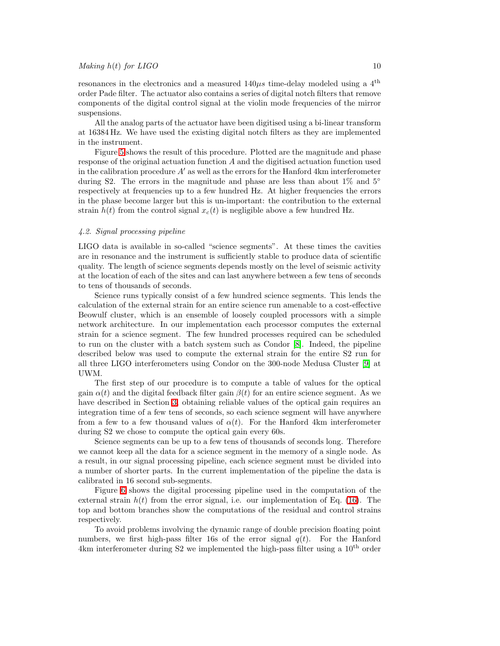resonances in the electronics and a measured  $140\mu s$  time-delay modeled using a 4<sup>th</sup> order Pade filter. The actuator also contains a series of digital notch filters that remove components of the digital control signal at the violin mode frequencies of the mirror suspensions.

All the analog parts of the actuator have been digitised using a bi-linear transform at 16384 Hz. We have used the existing digital notch filters as they are implemented in the instrument.

Figure [5](#page-8-0) shows the result of this procedure. Plotted are the magnitude and phase response of the original actuation function  $A$  and the digitised actuation function used in the calibration procedure  $A'$  as well as the errors for the Hanford 4km interferometer during S2. The errors in the magnitude and phase are less than about  $1\%$  and  $5<sup>°</sup>$ respectively at frequencies up to a few hundred Hz. At higher frequencies the errors in the phase become larger but this is un-important: the contribution to the external strain  $h(t)$  from the control signal  $x_c(t)$  is negligible above a few hundred Hz.

#### 4.2. Signal processing pipeline

LIGO data is available in so-called "science segments". At these times the cavities are in resonance and the instrument is sufficiently stable to produce data of scientific quality. The length of science segments depends mostly on the level of seismic activity at the location of each of the sites and can last anywhere between a few tens of seconds to tens of thousands of seconds.

Science runs typically consist of a few hundred science segments. This lends the calculation of the external strain for an entire science run amenable to a cost-effective Beowulf cluster, which is an ensemble of loosely coupled processors with a simple network architecture. In our implementation each processor computes the external strain for a science segment. The few hundred processes required can be scheduled to run on the cluster with a batch system such as Condor [\[8\]](#page-13-7). Indeed, the pipeline described below was used to compute the external strain for the entire S2 run for all three LIGO interferometers using Condor on the 300-node Medusa Cluster [\[9\]](#page-13-8) at UWM.

The first step of our procedure is to compute a table of values for the optical gain  $\alpha(t)$  and the digital feedback filter gain  $\beta(t)$  for an entire science segment. As we have described in Section [3,](#page-4-0) obtaining reliable values of the optical gain requires an integration time of a few tens of seconds, so each science segment will have anywhere from a few to a few thousand values of  $\alpha(t)$ . For the Hanford 4km interferometer during S2 we chose to compute the optical gain every 60s.

Science segments can be up to a few tens of thousands of seconds long. Therefore we cannot keep all the data for a science segment in the memory of a single node. As a result, in our signal processing pipeline, each science segment must be divided into a number of shorter parts. In the current implementation of the pipeline the data is calibrated in 16 second sub-segments.

Figure [6](#page-10-0) shows the digital processing pipeline used in the computation of the external strain  $h(t)$  from the error signal, i.e. our implementation of Eq. [\(16\)](#page-4-1). The top and bottom branches show the computations of the residual and control strains respectively.

To avoid problems involving the dynamic range of double precision floating point numbers, we first high-pass filter 16s of the error signal  $q(t)$ . For the Hanford 4km interferometer during  $S2$  we implemented the high-pass filter using a  $10<sup>th</sup>$  order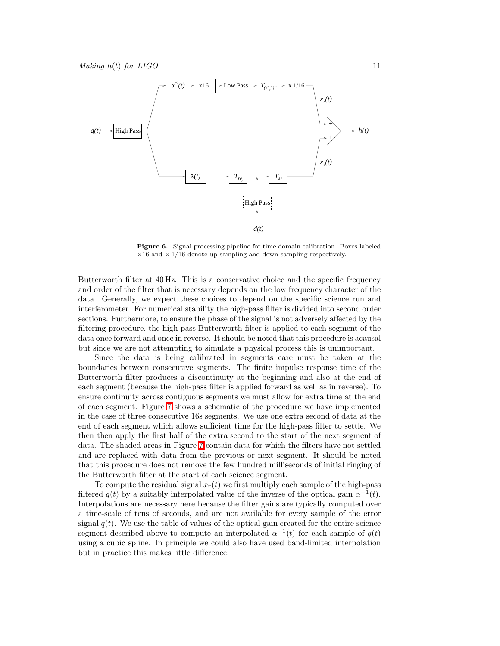

<span id="page-10-0"></span>Figure 6. Signal processing pipeline for time domain calibration. Boxes labeled  $\times$ 16 and  $\times$  1/16 denote up-sampling and down-sampling respectively.

Butterworth filter at 40 Hz. This is a conservative choice and the specific frequency and order of the filter that is necessary depends on the low frequency character of the data. Generally, we expect these choices to depend on the specific science run and interferometer. For numerical stability the high-pass filter is divided into second order sections. Furthermore, to ensure the phase of the signal is not adversely affected by the filtering procedure, the high-pass Butterworth filter is applied to each segment of the data once forward and once in reverse. It should be noted that this procedure is acausal but since we are not attempting to simulate a physical process this is unimportant.

Since the data is being calibrated in segments care must be taken at the boundaries between consecutive segments. The finite impulse response time of the Butterworth filter produces a discontinuity at the beginning and also at the end of each segment (because the high-pass filter is applied forward as well as in reverse). To ensure continuity across contiguous segments we must allow for extra time at the end of each segment. Figure [7](#page-11-0) shows a schematic of the procedure we have implemented in the case of three consecutive 16s segments. We use one extra second of data at the end of each segment which allows sufficient time for the high-pass filter to settle. We then then apply the first half of the extra second to the start of the next segment of data. The shaded areas in Figure [7](#page-11-0) contain data for which the filters have not settled and are replaced with data from the previous or next segment. It should be noted that this procedure does not remove the few hundred milliseconds of initial ringing of the Butterworth filter at the start of each science segment.

To compute the residual signal  $x_r(t)$  we first multiply each sample of the high-pass filtered  $q(t)$  by a suitably interpolated value of the inverse of the optical gain  $\alpha^{-1}(t)$ . Interpolations are necessary here because the filter gains are typically computed over a time-scale of tens of seconds, and are not available for every sample of the error signal  $q(t)$ . We use the table of values of the optical gain created for the entire science segment described above to compute an interpolated  $\alpha^{-1}(t)$  for each sample of  $q(t)$ using a cubic spline. In principle we could also have used band-limited interpolation but in practice this makes little difference.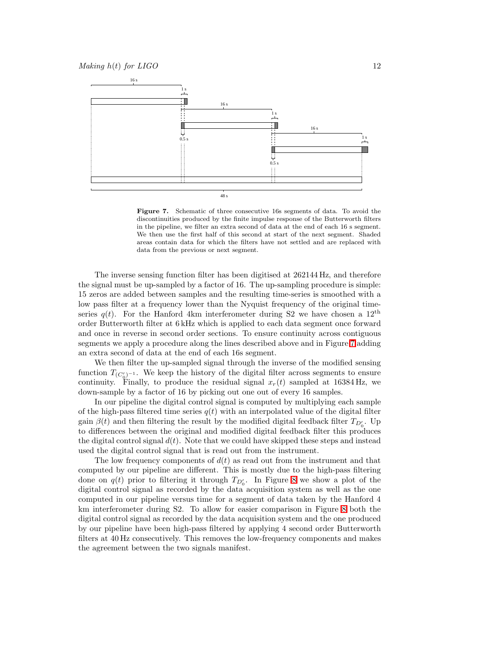

<span id="page-11-0"></span>Figure 7. Schematic of three consecutive 16s segments of data. To avoid the discontinuities produced by the finite impulse response of the Butterworth filters in the pipeline, we filter an extra second of data at the end of each 16 s segment. We then use the first half of this second at start of the next segment. Shaded areas contain data for which the filters have not settled and are replaced with data from the previous or next segment.

The inverse sensing function filter has been digitised at 262144 Hz, and therefore the signal must be up-sampled by a factor of 16. The up-sampling procedure is simple: 15 zeros are added between samples and the resulting time-series is smoothed with a low pass filter at a frequency lower than the Nyquist frequency of the original timeseries  $q(t)$ . For the Hanford 4km interferometer during S2 we have chosen a 12<sup>th</sup> order Butterworth filter at 6 kHz which is applied to each data segment once forward and once in reverse in second order sections. To ensure continuity across contiguous segments we apply a procedure along the lines described above and in Figure [7](#page-11-0) adding an extra second of data at the end of each 16s segment.

We then filter the up-sampled signal through the inverse of the modified sensing function  $T_{(C'_0)^{-1}}$ . We keep the history of the digital filter across segments to ensure continuity. Finally, to produce the residual signal  $x_r(t)$  sampled at 16384 Hz, we down-sample by a factor of 16 by picking out one out of every 16 samples.

In our pipeline the digital control signal is computed by multiplying each sample of the high-pass filtered time series  $q(t)$  with an interpolated value of the digital filter gain  $\beta(t)$  and then filtering the result by the modified digital feedback filter  $T_{D_0'}$ . Up to differences between the original and modified digital feedback filter this produces the digital control signal  $d(t)$ . Note that we could have skipped these steps and instead used the digital control signal that is read out from the instrument.

The low frequency components of  $d(t)$  as read out from the instrument and that computed by our pipeline are different. This is mostly due to the high-pass filtering done on  $q(t)$  prior to filtering it through  $T_{D_0'}$ . In Figure [8](#page-12-1) we show a plot of the digital control signal as recorded by the data acquisition system as well as the one computed in our pipeline versus time for a segment of data taken by the Hanford 4 km interferometer during S2. To allow for easier comparison in Figure [8](#page-12-1) both the digital control signal as recorded by the data acquisition system and the one produced by our pipeline have been high-pass filtered by applying 4 second order Butterworth filters at 40 Hz consecutively. This removes the low-frequency components and makes the agreement between the two signals manifest.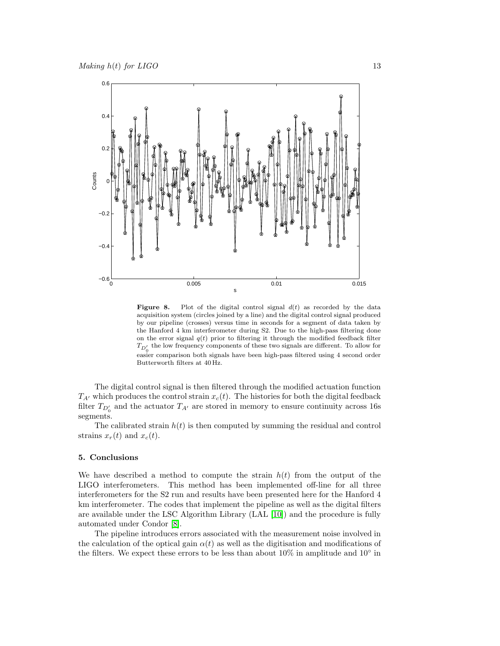

<span id="page-12-1"></span>**Figure 8.** Plot of the digital control signal  $d(t)$  as recorded by the data acquisition system (circles joined by a line) and the digital control signal produced by our pipeline (crosses) versus time in seconds for a segment of data taken by the Hanford 4 km interferometer during S2. Due to the high-pass filtering done on the error signal  $q(t)$  prior to filtering it through the modified feedback filter  $T_{D_0'}$  the low frequency components of these two signals are different. To allow for easier comparison both signals have been high-pass filtered using 4 second order Butterworth filters at 40 Hz.

The digital control signal is then filtered through the modified actuation function  $T_{A'}$  which produces the control strain  $x_c(t)$ . The histories for both the digital feedback filter  $T_{D_0'}$  and the actuator  $T_{A'}$  are stored in memory to ensure continuity across 16s segments.

The calibrated strain  $h(t)$  is then computed by summing the residual and control strains  $x_r(t)$  and  $x_c(t)$ .

### <span id="page-12-0"></span>5. Conclusions

We have described a method to compute the strain  $h(t)$  from the output of the LIGO interferometers. This method has been implemented off-line for all three interferometers for the S2 run and results have been presented here for the Hanford 4 km interferometer. The codes that implement the pipeline as well as the digital filters are available under the LSC Algorithm Library (LAL [\[10\]](#page-13-9)) and the procedure is fully automated under Condor [\[8\]](#page-13-7).

The pipeline introduces errors associated with the measurement noise involved in the calculation of the optical gain  $\alpha(t)$  as well as the digitisation and modifications of the filters. We expect these errors to be less than about  $10\%$  in amplitude and  $10°$  in